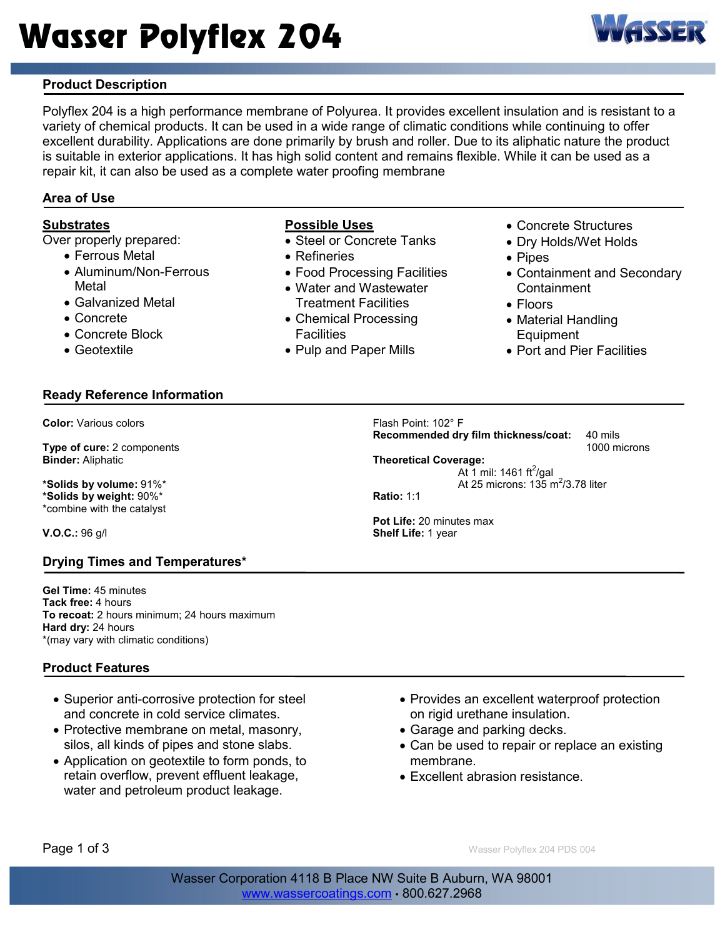

# Product Description

Polyflex 204 is a high performance membrane of Polyurea. It provides excellent insulation and is resistant to a variety of chemical products. It can be used in a wide range of climatic conditions while continuing to offer excellent durability. Applications are done primarily by brush and roller. Due to its aliphatic nature the product is suitable in exterior applications. It has high solid content and remains flexible. While it can be used as a repair kit, it can also be used as a complete water proofing membrane

#### Area of Use

# **Substrates**

Over properly prepared:

- Ferrous Metal
- Aluminum/Non-Ferrous Metal
- Galvanized Metal
- Concrete
- Concrete Block
- Geotextile

## Ready Reference Information

Color: Various colors

Type of cure: 2 components Binder: Aliphatic

\*Solids by volume: 91%\* \*Solids by weight: 90%\* \*combine with the catalyst

V.O.C.: 96 g/l

#### Drying Times and Temperatures\*

Gel Time: 45 minutes Tack free: 4 hours To recoat: 2 hours minimum; 24 hours maximum Hard dry: 24 hours \*(may vary with climatic conditions)

## Product Features

- Superior anti-corrosive protection for steel and concrete in cold service climates.
- Protective membrane on metal, masonry, silos, all kinds of pipes and stone slabs.
- Application on geotextile to form ponds, to retain overflow, prevent effluent leakage, water and petroleum product leakage.

#### Possible Uses

- Steel or Concrete Tanks
- Refineries
- Food Processing Facilities
- Water and Wastewater Treatment Facilities
- Chemical Processing **Facilities**
- Pulp and Paper Mills
- Concrete Structures
- Dry Holds/Wet Holds
- Pipes
- Containment and Secondary **Containment**
- Floors
- Material Handling Equipment
- Port and Pier Facilities

Flash Point: 102° F

Recommended dry film thickness/coat: 40 mils

1000 microns

Theoretical Coverage: At 1 mil: 1461 ft $^2$ /gal At 25 microns:  $135 \text{ m}^2/3.78$  liter

Ratio: 1:1

Pot Life: 20 minutes max Shelf Life: 1 year

- Provides an excellent waterproof protection on rigid urethane insulation.
- Garage and parking decks.
- Can be used to repair or replace an existing membrane.
- Excellent abrasion resistance.

**Page 1 of 3** Wasser Polyflex 204 PDS 004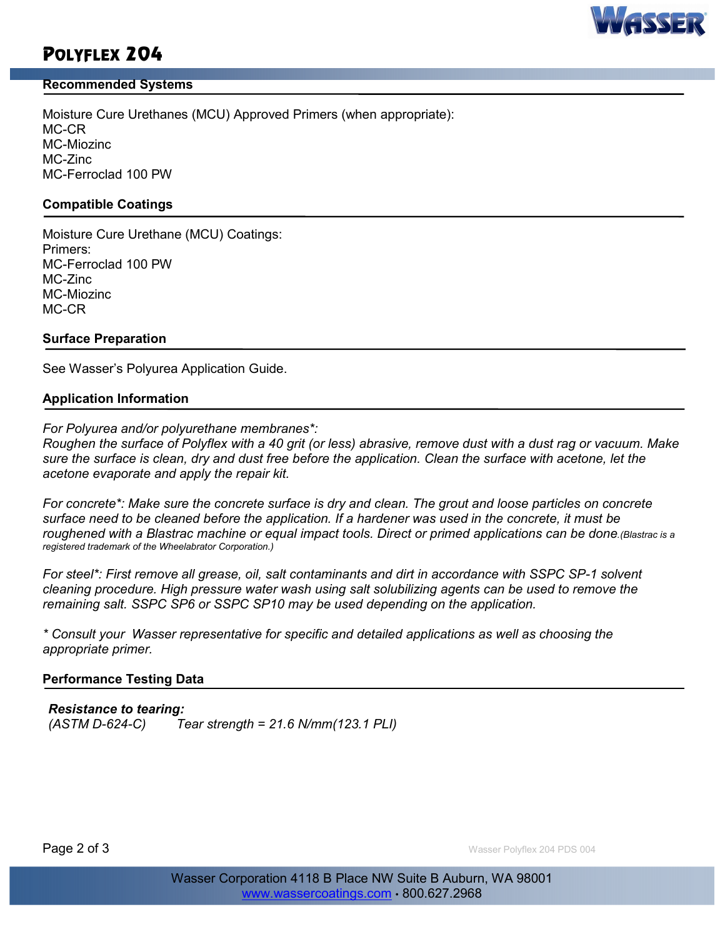# AVVE

# POLYFLEX 204

#### Recommended Systems

Moisture Cure Urethanes (MCU) Approved Primers (when appropriate): MC-CR MC-Miozinc MC-Zinc MC-Ferroclad 100 PW

#### Compatible Coatings

Moisture Cure Urethane (MCU) Coatings: Primers: MC-Ferroclad 100 PW MC-Zinc MC-Miozinc MC-CR

#### Surface Preparation

See Wasser's Polyurea Application Guide.

#### Application Information

For Polyurea and/or polyurethane membranes\*:

Roughen the surface of Polyflex with a 40 grit (or less) abrasive, remove dust with a dust rag or vacuum. Make sure the surface is clean, dry and dust free before the application. Clean the surface with acetone, let the acetone evaporate and apply the repair kit.

For concrete\*: Make sure the concrete surface is dry and clean. The grout and loose particles on concrete surface need to be cleaned before the application. If a hardener was used in the concrete, it must be roughened with a Blastrac machine or equal impact tools. Direct or primed applications can be done.(Blastrac is a registered trademark of the Wheelabrator Corporation.)

For steel\*: First remove all grease, oil, salt contaminants and dirt in accordance with SSPC SP-1 solvent cleaning procedure. High pressure water wash using salt solubilizing agents can be used to remove the remaining salt. SSPC SP6 or SSPC SP10 may be used depending on the application.

\* Consult your Wasser representative for specific and detailed applications as well as choosing the appropriate primer.

#### Performance Testing Data

#### Resistance to tearing:

 $(ASTM D-624-C)$  Tear strength = 21.6 N/mm $(123.1$  PLI)

**Page 2 of 3** Wasser Polyflex 204 PDS 004